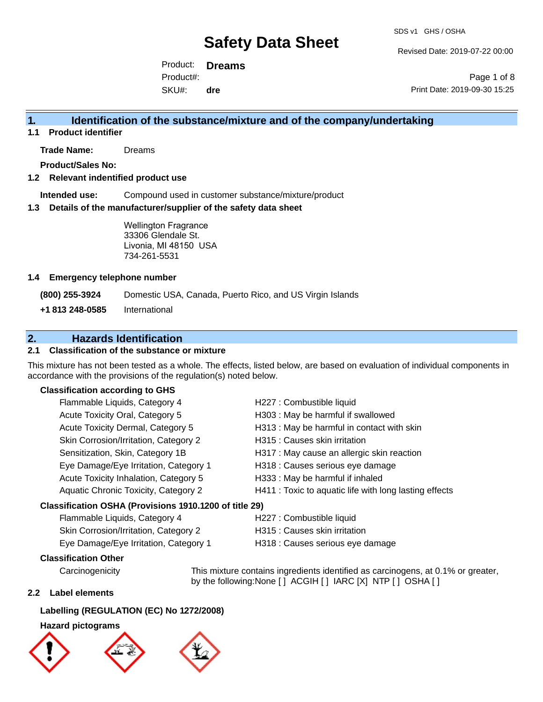Revised Date: 2019-07-22 00:00

Product: **Dreams** SKU#: Product#: **dre**

Page 1 of 8 Print Date: 2019-09-30 15:25

# **1. Identification of the substance/mixture and of the company/undertaking**

**1.1 Product identifier**

**Trade Name:** Dreams

**Product/Sales No:**

### **1.2 Relevant indentified product use**

**Intended use:** Compound used in customer substance/mixture/product

#### **1.3 Details of the manufacturer/supplier of the safety data sheet**

Wellington Fragrance 33306 Glendale St. Livonia, MI 48150 USA 734-261-5531

### **1.4 Emergency telephone number**

**(800) 255-3924** Domestic USA, Canada, Puerto Rico, and US Virgin Islands

**+1 813 248-0585** International

# **2. Hazards Identification**

## **2.1 Classification of the substance or mixture**

This mixture has not been tested as a whole. The effects, listed below, are based on evaluation of individual components in accordance with the provisions of the regulation(s) noted below.

### **Classification according to GHS**

| Flammable Liquids, Category 4                          | H227 : Combustible liquid                              |
|--------------------------------------------------------|--------------------------------------------------------|
| Acute Toxicity Oral, Category 5                        | H303 : May be harmful if swallowed                     |
| Acute Toxicity Dermal, Category 5                      | H313 : May be harmful in contact with skin             |
| Skin Corrosion/Irritation, Category 2                  | H315 : Causes skin irritation                          |
| Sensitization, Skin, Category 1B                       | H317 : May cause an allergic skin reaction             |
| Eye Damage/Eye Irritation, Category 1                  | H318 : Causes serious eye damage                       |
| Acute Toxicity Inhalation, Category 5                  | H333: May be harmful if inhaled                        |
| Aquatic Chronic Toxicity, Category 2                   | H411 : Toxic to aquatic life with long lasting effects |
| Classification OSHA (Provisions 1910.1200 of title 29) |                                                        |
|                                                        | ________                                               |

## Flammable Liquids, Category 4 H227 : Combustible liquid Skin Corrosion/Irritation, Category 2 H315 : Causes skin irritation Eye Damage/Eye Irritation, Category 1 H318 : Causes serious eye damage

## **Classification Other**

Carcinogenicity This mixture contains ingredients identified as carcinogens, at 0.1% or greater, by the following:None [ ] ACGIH [ ] IARC [X] NTP [ ] OSHA [ ]

## **2.2 Label elements**

#### **Labelling (REGULATION (EC) No 1272/2008)**

## **Hazard pictograms**



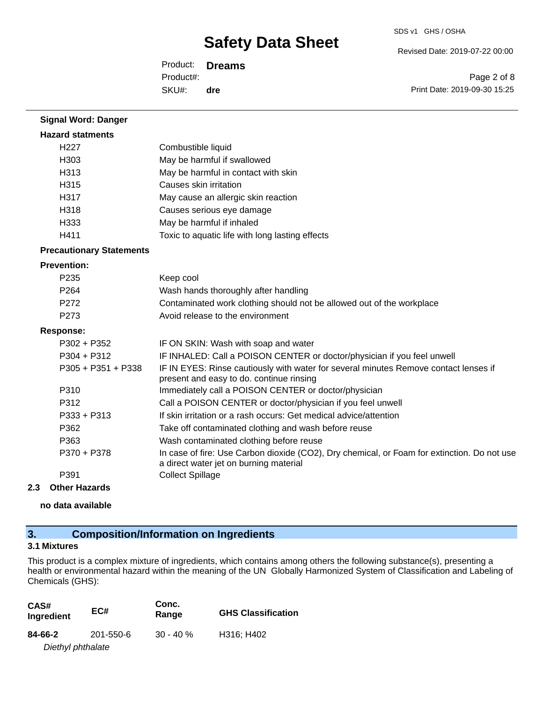SDS v1 GHS / OSHA

Revised Date: 2019-07-22 00:00

Product: **Dreams** SKU#: Product#: **dre**

Page 2 of 8 Print Date: 2019-09-30 15:25

| <b>Signal Word: Danger</b>      |                                                                                                                                       |
|---------------------------------|---------------------------------------------------------------------------------------------------------------------------------------|
| <b>Hazard statments</b>         |                                                                                                                                       |
| H <sub>227</sub>                | Combustible liquid                                                                                                                    |
| H303                            | May be harmful if swallowed                                                                                                           |
| H313                            | May be harmful in contact with skin                                                                                                   |
| H315                            | Causes skin irritation                                                                                                                |
| H317                            | May cause an allergic skin reaction                                                                                                   |
| H318                            | Causes serious eye damage                                                                                                             |
| H333                            | May be harmful if inhaled                                                                                                             |
| H411                            | Toxic to aquatic life with long lasting effects                                                                                       |
| <b>Precautionary Statements</b> |                                                                                                                                       |
| <b>Prevention:</b>              |                                                                                                                                       |
| P <sub>235</sub>                | Keep cool                                                                                                                             |
| P <sub>264</sub>                | Wash hands thoroughly after handling                                                                                                  |
| P <sub>272</sub>                | Contaminated work clothing should not be allowed out of the workplace                                                                 |
| P <sub>273</sub>                | Avoid release to the environment                                                                                                      |
| <b>Response:</b>                |                                                                                                                                       |
| $P302 + P352$                   | IF ON SKIN: Wash with soap and water                                                                                                  |
| $P304 + P312$                   | IF INHALED: Call a POISON CENTER or doctor/physician if you feel unwell                                                               |
| $P305 + P351 + P338$            | IF IN EYES: Rinse cautiously with water for several minutes Remove contact lenses if<br>present and easy to do. continue rinsing      |
| P310                            | Immediately call a POISON CENTER or doctor/physician                                                                                  |
| P312                            | Call a POISON CENTER or doctor/physician if you feel unwell                                                                           |
| $P333 + P313$                   | If skin irritation or a rash occurs: Get medical advice/attention                                                                     |
| P362                            | Take off contaminated clothing and wash before reuse                                                                                  |
| P363                            | Wash contaminated clothing before reuse                                                                                               |
| P370 + P378                     | In case of fire: Use Carbon dioxide (CO2), Dry chemical, or Foam for extinction. Do not use<br>a direct water jet on burning material |
| P391                            | <b>Collect Spillage</b>                                                                                                               |

## **2.3 Other Hazards**

**no data available**

# **3. Composition/Information on Ingredients**

# **3.1 Mixtures**

This product is a complex mixture of ingredients, which contains among others the following substance(s), presenting a health or environmental hazard within the meaning of the UN Globally Harmonized System of Classification and Labeling of Chemicals (GHS):

| CAS#<br>Ingredient | EC#       | Conc.<br>Range | <b>GHS Classification</b> |
|--------------------|-----------|----------------|---------------------------|
| 84-66-2            | 201-550-6 | $30 - 40 \%$   | H316; H402                |
| Diethyl phthalate  |           |                |                           |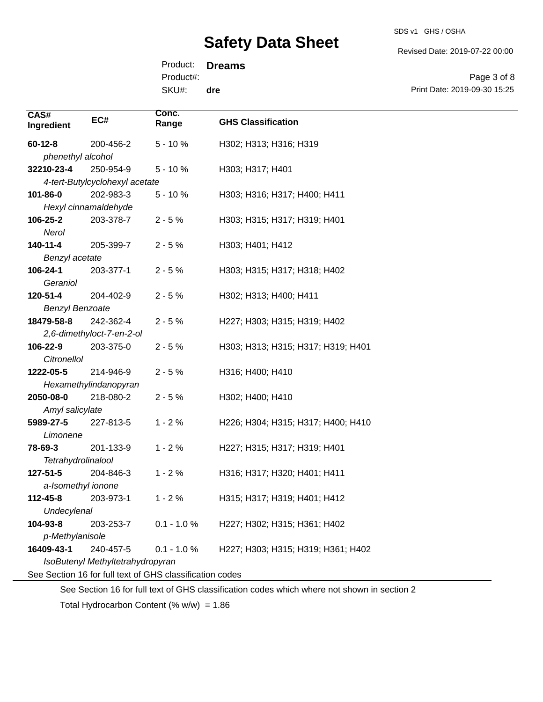SDS v1 GHS / OSHA

Revised Date: 2019-07-22 00:00

Product: **Dreams** Product#:

SKU#: **dre**

Page 3 of 8 Print Date: 2019-09-30 15:25

| CAS#<br>Ingredient               | EC#                                                      | Conc.<br>Range | <b>GHS Classification</b>          |
|----------------------------------|----------------------------------------------------------|----------------|------------------------------------|
| $60 - 12 - 8$                    | 200-456-2                                                | $5 - 10%$      | H302; H313; H316; H319             |
| phenethyl alcohol                |                                                          |                |                                    |
| 32210-23-4                       | 250-954-9                                                | $5 - 10%$      | H303; H317; H401                   |
|                                  | 4-tert-Butylcyclohexyl acetate                           |                |                                    |
| 101-86-0                         | 202-983-3                                                | $5 - 10%$      | H303; H316; H317; H400; H411       |
|                                  | Hexyl cinnamaldehyde                                     |                |                                    |
| 106-25-2                         | 203-378-7                                                | $2 - 5%$       | H303; H315; H317; H319; H401       |
| Nerol                            |                                                          |                |                                    |
| 140-11-4                         | 205-399-7                                                | $2 - 5%$       | H303; H401; H412                   |
| Benzyl acetate                   |                                                          |                |                                    |
| 106-24-1                         | 203-377-1                                                | $2 - 5%$       | H303; H315; H317; H318; H402       |
| Geraniol                         |                                                          |                |                                    |
| 120-51-4                         | 204-402-9                                                | $2 - 5%$       | H302; H313; H400; H411             |
| <b>Benzyl Benzoate</b>           |                                                          |                |                                    |
| 18479-58-8                       | 242-362-4                                                | $2 - 5%$       | H227; H303; H315; H319; H402       |
|                                  | 2,6-dimethyloct-7-en-2-ol                                |                |                                    |
| 106-22-9                         | 203-375-0                                                | $2 - 5%$       | H303; H313; H315; H317; H319; H401 |
| Citronellol                      |                                                          |                |                                    |
| 1222-05-5                        | 214-946-9                                                | $2 - 5%$       | H316; H400; H410                   |
|                                  | Hexamethylindanopyran                                    |                |                                    |
| 2050-08-0                        | 218-080-2                                                | $2 - 5%$       | H302; H400; H410                   |
| Amyl salicylate                  |                                                          |                |                                    |
| 5989-27-5                        | 227-813-5                                                | $1 - 2%$       | H226; H304; H315; H317; H400; H410 |
| Limonene                         |                                                          |                |                                    |
| 78-69-3                          | 201-133-9                                                | $1 - 2%$       | H227; H315; H317; H319; H401       |
| Tetrahydrolinalool               |                                                          |                |                                    |
| 127-51-5                         | 204-846-3                                                | $1 - 2%$       | H316; H317; H320; H401; H411       |
| a-Isomethyl ionone               |                                                          |                |                                    |
| 112-45-8                         | 203-973-1                                                | $1 - 2%$       | H315; H317; H319; H401; H412       |
| Undecylenal                      |                                                          |                |                                    |
| 104-93-8                         | 203-253-7                                                | $0.1 - 1.0 %$  | H227; H302; H315; H361; H402       |
| p-Methylanisole                  |                                                          |                |                                    |
| 16409-43-1                       | 240-457-5                                                | $0.1 - 1.0 %$  | H227; H303; H315; H319; H361; H402 |
| IsoButenyl Methyltetrahydropyran |                                                          |                |                                    |
|                                  | See Section 16 for full text of GHS classification codes |                |                                    |

See Section 16 for full text of GHS classification codes which where not shown in section 2

Total Hydrocarbon Content (% w/w) = 1.86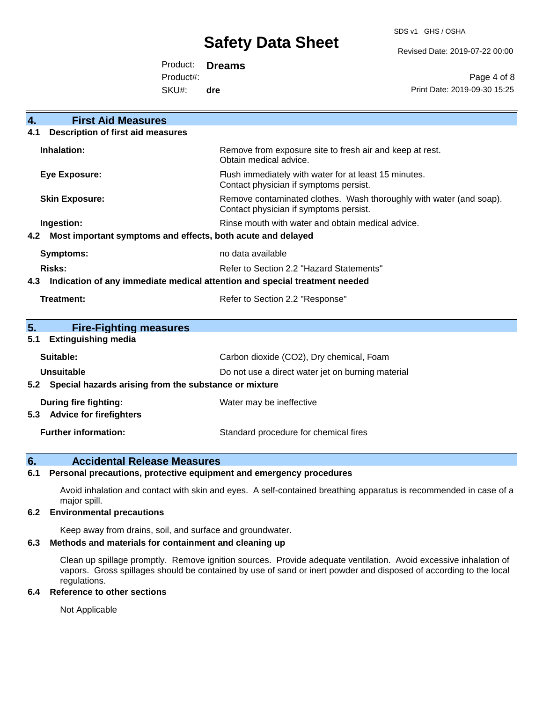SDS v1 GHS / OSHA

Revised Date: 2019-07-22 00:00

Product: **Dreams** Product#:

SKU#: **dre**

Page 4 of 8 Print Date: 2019-09-30 15:25

| 4.<br><b>First Aid Measures</b>                                                   |                                                                                                               |
|-----------------------------------------------------------------------------------|---------------------------------------------------------------------------------------------------------------|
| <b>Description of first aid measures</b><br>4.1                                   |                                                                                                               |
| Inhalation:                                                                       | Remove from exposure site to fresh air and keep at rest.<br>Obtain medical advice.                            |
| <b>Eye Exposure:</b>                                                              | Flush immediately with water for at least 15 minutes.<br>Contact physician if symptoms persist.               |
| <b>Skin Exposure:</b>                                                             | Remove contaminated clothes. Wash thoroughly with water (and soap).<br>Contact physician if symptoms persist. |
| Ingestion:                                                                        | Rinse mouth with water and obtain medical advice.                                                             |
| Most important symptoms and effects, both acute and delayed<br>4.2                |                                                                                                               |
| <b>Symptoms:</b>                                                                  | no data available                                                                                             |
| Risks:                                                                            | Refer to Section 2.2 "Hazard Statements"                                                                      |
| Indication of any immediate medical attention and special treatment needed<br>4.3 |                                                                                                               |
| <b>Treatment:</b>                                                                 | Refer to Section 2.2 "Response"                                                                               |
| 5.<br><b>Fire-Fighting measures</b>                                               |                                                                                                               |
| <b>Extinguishing media</b><br>5.1                                                 |                                                                                                               |
| Suitable:                                                                         | Carbon dioxide (CO2), Dry chemical, Foam                                                                      |
| Unsuitable                                                                        | Do not use a direct water jet on burning material                                                             |
| 5.2 Special hazards arising from the substance or mixture                         |                                                                                                               |
| During fire fighting:                                                             | Water may be ineffective                                                                                      |
| <b>Advice for firefighters</b><br>5.3                                             |                                                                                                               |
| <b>Further information:</b>                                                       | Standard procedure for chemical fires                                                                         |

# **6. Accidental Release Measures**

### **6.1 Personal precautions, protective equipment and emergency procedures**

Avoid inhalation and contact with skin and eyes. A self-contained breathing apparatus is recommended in case of a major spill.

## **6.2 Environmental precautions**

Keep away from drains, soil, and surface and groundwater.

## **6.3 Methods and materials for containment and cleaning up**

Clean up spillage promptly. Remove ignition sources. Provide adequate ventilation. Avoid excessive inhalation of vapors. Gross spillages should be contained by use of sand or inert powder and disposed of according to the local regulations.

### **6.4 Reference to other sections**

Not Applicable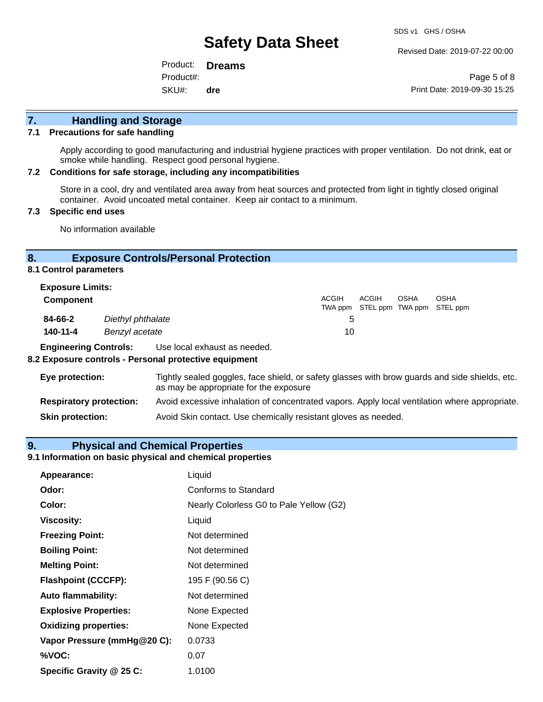Revised Date: 2019-07-22 00:00

Product: **Dreams** SKU#: Product#: **dre**

Page 5 of 8 Print Date: 2019-09-30 15:25

# **7. Handling and Storage**

## **7.1 Precautions for safe handling**

Apply according to good manufacturing and industrial hygiene practices with proper ventilation. Do not drink, eat or smoke while handling. Respect good personal hygiene.

#### **7.2 Conditions for safe storage, including any incompatibilities**

Store in a cool, dry and ventilated area away from heat sources and protected from light in tightly closed original container. Avoid uncoated metal container. Keep air contact to a minimum.

## **7.3 Specific end uses**

No information available

## **8. Exposure Controls/Personal Protection**

**8.1 Control parameters**

| <b>Exposure Limits:</b> |                   |              |                                            |             |             |
|-------------------------|-------------------|--------------|--------------------------------------------|-------------|-------------|
| Component               |                   | <b>ACGIH</b> | ACGIH<br>TWA ppm STEL ppm TWA ppm STEL ppm | <b>OSHA</b> | <b>OSHA</b> |
| 84-66-2                 | Diethyl phthalate | 5            |                                            |             |             |
| 140-11-4                | Benzyl acetate    | 10           |                                            |             |             |

**Engineering Controls:** Use local exhaust as needed.

#### **8.2 Exposure controls - Personal protective equipment**

| Eye protection:                | Tightly sealed goggles, face shield, or safety glasses with brow guards and side shields, etc.<br>as may be appropriate for the exposure |
|--------------------------------|------------------------------------------------------------------------------------------------------------------------------------------|
| <b>Respiratory protection:</b> | Avoid excessive inhalation of concentrated vapors. Apply local ventilation where appropriate.                                            |
| <b>Skin protection:</b>        | Avoid Skin contact. Use chemically resistant gloves as needed.                                                                           |

### **9. Physical and Chemical Properties**

#### **9.1 Information on basic physical and chemical properties**

| Appearance:                  | Liquid                                  |
|------------------------------|-----------------------------------------|
| Odor:                        | Conforms to Standard                    |
| Color:                       | Nearly Colorless G0 to Pale Yellow (G2) |
| <b>Viscosity:</b>            | Liquid                                  |
| <b>Freezing Point:</b>       | Not determined                          |
| <b>Boiling Point:</b>        | Not determined                          |
| <b>Melting Point:</b>        | Not determined                          |
| <b>Flashpoint (CCCFP):</b>   | 195 F (90.56 C)                         |
| <b>Auto flammability:</b>    | Not determined                          |
| <b>Explosive Properties:</b> | None Expected                           |
| <b>Oxidizing properties:</b> | None Expected                           |
| Vapor Pressure (mmHg@20 C):  | 0.0733                                  |
| %VOC:                        | 0.07                                    |
| Specific Gravity @ 25 C:     | 1.0100                                  |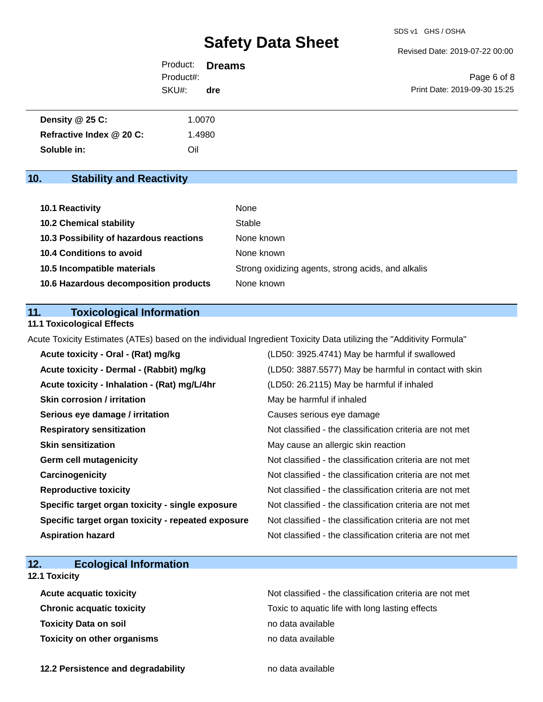Revised Date: 2019-07-22 00:00

|           | Product: <b>Dreams</b> |  |
|-----------|------------------------|--|
| Product#: |                        |  |
| SKU#:     | dre                    |  |

Page 6 of 8 Print Date: 2019-09-30 15:25

| Density $@25C$ :         | 1.0070 |
|--------------------------|--------|
| Refractive Index @ 20 C: | .4980  |
| Soluble in:              | Oil    |

# **10. Stability and Reactivity**

| <b>10.1 Reactivity</b>                  | None                                               |
|-----------------------------------------|----------------------------------------------------|
| <b>10.2 Chemical stability</b>          | Stable                                             |
| 10.3 Possibility of hazardous reactions | None known                                         |
| <b>10.4 Conditions to avoid</b>         | None known                                         |
| 10.5 Incompatible materials             | Strong oxidizing agents, strong acids, and alkalis |
| 10.6 Hazardous decomposition products   | None known                                         |

## **11. Toxicological Information**

## **11.1 Toxicological Effects**

Acute Toxicity Estimates (ATEs) based on the individual Ingredient Toxicity Data utilizing the "Additivity Formula"

| Acute toxicity - Oral - (Rat) mg/kg                | (LD50: 3925.4741) May be harmful if swallowed            |
|----------------------------------------------------|----------------------------------------------------------|
| Acute toxicity - Dermal - (Rabbit) mg/kg           | (LD50: 3887.5577) May be harmful in contact with skin    |
| Acute toxicity - Inhalation - (Rat) mg/L/4hr       | (LD50: 26.2115) May be harmful if inhaled                |
| <b>Skin corrosion / irritation</b>                 | May be harmful if inhaled                                |
| Serious eye damage / irritation                    | Causes serious eye damage                                |
| <b>Respiratory sensitization</b>                   | Not classified - the classification criteria are not met |
| <b>Skin sensitization</b>                          | May cause an allergic skin reaction                      |
| <b>Germ cell mutagenicity</b>                      | Not classified - the classification criteria are not met |
| Carcinogenicity                                    | Not classified - the classification criteria are not met |
| <b>Reproductive toxicity</b>                       | Not classified - the classification criteria are not met |
| Specific target organ toxicity - single exposure   | Not classified - the classification criteria are not met |
| Specific target organ toxicity - repeated exposure | Not classified - the classification criteria are not met |
| <b>Aspiration hazard</b>                           | Not classified - the classification criteria are not met |

# **12. Ecological Information**

# **12.1 Toxicity**

| <b>Acute acquatic toxicity</b>     | Not classified - the classification criteria are not met |
|------------------------------------|----------------------------------------------------------|
| <b>Chronic acquatic toxicity</b>   | Toxic to aquatic life with long lasting effects          |
| <b>Toxicity Data on soil</b>       | no data available                                        |
| <b>Toxicity on other organisms</b> | no data available                                        |

**12.2 Persistence and degradability no data available**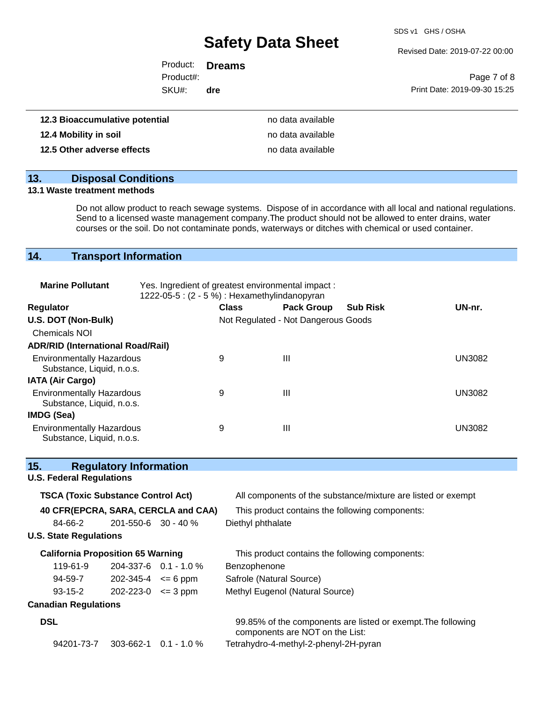SDS v1 GHS / OSHA

Revised Date: 2019-07-22 00:00

|           | Product: <b>Dreams</b> |                              |
|-----------|------------------------|------------------------------|
| Product#: |                        | Page 7 of 8                  |
| SKU#:     | dre                    | Print Date: 2019-09-30 15:25 |
|           |                        |                              |
|           |                        |                              |

| 12.3 Bioaccumulative potential | no data available |
|--------------------------------|-------------------|
| 12.4 Mobility in soil          | no data available |
| 12.5 Other adverse effects     | no data available |

# **13. Disposal Conditions**

#### **13.1 Waste treatment methods**

Do not allow product to reach sewage systems. Dispose of in accordance with all local and national regulations. Send to a licensed waste management company.The product should not be allowed to enter drains, water courses or the soil. Do not contaminate ponds, waterways or ditches with chemical or used container.

# **14. Transport Information**

| <b>Marine Pollutant</b>                                       | Yes. Ingredient of greatest environmental impact:<br>1222-05-5 : (2 - 5 %) : Hexamethylindanopyran |              |                                     |                 |               |
|---------------------------------------------------------------|----------------------------------------------------------------------------------------------------|--------------|-------------------------------------|-----------------|---------------|
| <b>Regulator</b>                                              |                                                                                                    | <b>Class</b> | <b>Pack Group</b>                   | <b>Sub Risk</b> | UN-nr.        |
| U.S. DOT (Non-Bulk)                                           |                                                                                                    |              | Not Regulated - Not Dangerous Goods |                 |               |
| <b>Chemicals NOI</b>                                          |                                                                                                    |              |                                     |                 |               |
| <b>ADR/RID (International Road/Rail)</b>                      |                                                                                                    |              |                                     |                 |               |
| <b>Environmentally Hazardous</b><br>Substance, Liquid, n.o.s. |                                                                                                    | 9            | Ш                                   |                 | <b>UN3082</b> |
| <b>IATA (Air Cargo)</b>                                       |                                                                                                    |              |                                     |                 |               |
| <b>Environmentally Hazardous</b><br>Substance, Liquid, n.o.s. |                                                                                                    | 9            | Ш                                   |                 | <b>UN3082</b> |
| IMDG (Sea)                                                    |                                                                                                    |              |                                     |                 |               |
| <b>Environmentally Hazardous</b><br>Substance, Liquid, n.o.s. |                                                                                                    | 9            | Ш                                   |                 | UN3082        |

| 15.                                       | <b>Regulatory Information</b> |                                                                                                 |
|-------------------------------------------|-------------------------------|-------------------------------------------------------------------------------------------------|
| <b>U.S. Federal Regulations</b>           |                               |                                                                                                 |
| <b>TSCA (Toxic Substance Control Act)</b> |                               | All components of the substance/mixture are listed or exempt                                    |
| 40 CFR(EPCRA, SARA, CERCLA and CAA)       |                               | This product contains the following components:                                                 |
| 84-66-2                                   | $201 - 550 - 6$ 30 - 40 %     | Diethyl phthalate                                                                               |
| <b>U.S. State Regulations</b>             |                               |                                                                                                 |
| <b>California Proposition 65 Warning</b>  |                               | This product contains the following components:                                                 |
| 119-61-9                                  | $204-337-6$ 0.1 - 1.0 %       | Benzophenone                                                                                    |
| 94-59-7                                   | $202 - 345 - 4 \le 6$ ppm     | Safrole (Natural Source)                                                                        |
| $93 - 15 - 2$                             | $202 - 223 - 0 \leq 3$ ppm    | Methyl Eugenol (Natural Source)                                                                 |
| <b>Canadian Regulations</b>               |                               |                                                                                                 |
| <b>DSL</b>                                |                               | 99.85% of the components are listed or exempt. The following<br>components are NOT on the List: |
| 94201-73-7                                | $303 - 662 - 1$ 0.1 - 1.0 %   | Tetrahydro-4-methyl-2-phenyl-2H-pyran                                                           |